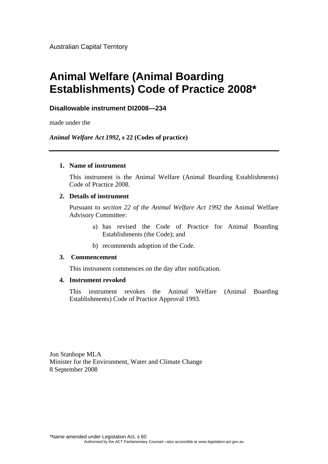Australian Capital Territory

# **Animal Welfare (Animal Boarding Establishments) Code of Practice 2008\***

### **Disallowable instrument DI2008—234**

made under the

*Animal Welfare Act 1992***, s 22 (Codes of practice)**

#### **1. Name of instrument**

This instrument is the Animal Welfare (Animal Boarding Establishments) Code of Practice 2008.

#### **2. Details of instrument**

Pursuant to *section 22 of the Animal Welfare Act 1992* the Animal Welfare Advisory Committee:

- a) has revised the Code of Practice for Animal Boarding Establishments (the Code); and
- b) recommends adoption of the Code.

#### **3. Commencement**

This instrument commences on the day after notification.

#### **4. Instrument revoked**

This instrument revokes the Animal Welfare (Animal Boarding Establishments) Code of Practice Approval 1993.

Jon Stanhope MLA Minister for the Environment, Water and Climate Change 8 September 2008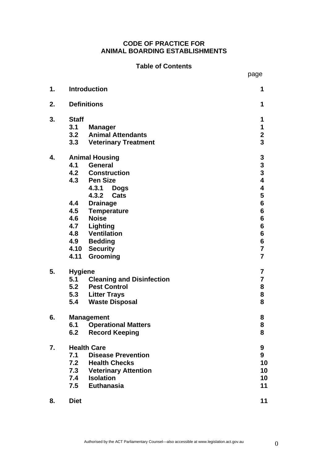# **CODE OF PRACTICE FOR ANIMAL BOARDING ESTABLISHMENTS**

### **Table of Contents**

|    |                       |                               | page                                       |
|----|-----------------------|-------------------------------|--------------------------------------------|
| 1. |                       | <b>Introduction</b>           | 1                                          |
| 2. |                       | <b>Definitions</b>            | 1                                          |
| 3. | <b>Staff</b>          |                               | 1                                          |
|    | 3.1                   | <b>Manager</b>                | 1                                          |
|    | 3.2                   | <b>Animal Attendants</b>      | $\mathbf 2$                                |
|    | 3.3                   | <b>Veterinary Treatment</b>   | 3                                          |
| 4. | <b>Animal Housing</b> |                               |                                            |
|    | 4.1                   | <b>General</b>                |                                            |
|    |                       | 4.2 Construction              | $\begin{array}{c} 3 \\ 3 \\ 4 \end{array}$ |
|    |                       | 4.3 Pen Size                  |                                            |
|    |                       | 4.3.1 Dogs                    | 4                                          |
|    |                       | 4.3.2<br>Cats                 | 5                                          |
|    |                       | 4.4 Drainage                  | 6                                          |
|    |                       | 4.5 Temperature               | 6                                          |
|    |                       | 4.6 Noise                     | 6                                          |
|    |                       | 4.7 Lighting                  | 6                                          |
|    |                       | 4.8 Ventilation               | 6                                          |
|    |                       | 4.9 Bedding                   | 6                                          |
|    |                       | 4.10 Security                 | $\overline{7}$                             |
|    | 4.11                  | Grooming                      | $\overline{7}$                             |
| 5. | <b>Hygiene</b>        |                               | 7                                          |
|    |                       | 5.1 Cleaning and Disinfection | $\overline{\mathbf{7}}$                    |
|    |                       | 5.2 Pest Control              | 8                                          |
|    |                       | 5.3 Litter Trays              | 8                                          |
|    | 5.4                   | <b>Waste Disposal</b>         | 8                                          |
| 6. |                       | <b>Management</b>             | 8                                          |
|    | 6.1                   | <b>Operational Matters</b>    | 8                                          |
|    | 6.2                   | <b>Record Keeping</b>         | 8                                          |
|    | <b>Health Care</b>    |                               | 9                                          |
|    | 7.1                   | <b>Disease Prevention</b>     | 9                                          |
| 7. | 7.2                   | <b>Health Checks</b>          | 10                                         |
|    | 7.3                   | <b>Veterinary Attention</b>   | 10                                         |
|    | 7.4                   | <b>Isolation</b>              | 10                                         |
|    | 7.5                   | <b>Euthanasia</b>             | 11                                         |
| 8. | <b>Diet</b>           |                               | 11                                         |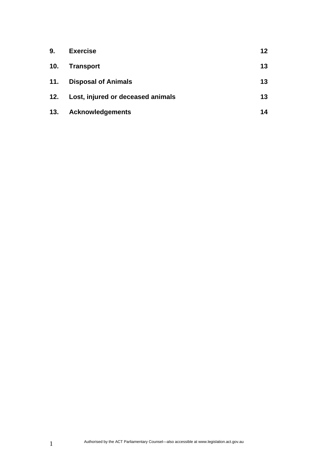| 9.  | <b>Exercise</b>                   | 12 |
|-----|-----------------------------------|----|
| 10. | <b>Transport</b>                  | 13 |
| 11. | <b>Disposal of Animals</b>        | 13 |
| 12. | Lost, injured or deceased animals | 13 |
| 13. | <b>Acknowledgements</b>           | 14 |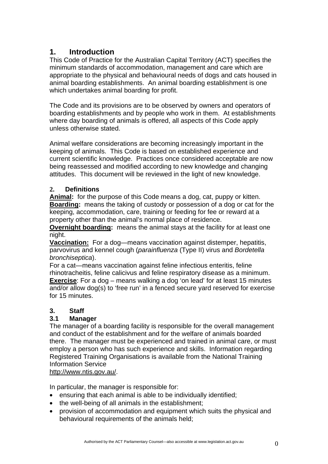# **1. Introduction**

This Code of Practice for the Australian Capital Territory (ACT) specifies the minimum standards of accommodation, management and care which are appropriate to the physical and behavioural needs of dogs and cats housed in animal boarding establishments. An animal boarding establishment is one which undertakes animal boarding for profit.

The Code and its provisions are to be observed by owners and operators of boarding establishments and by people who work in them. At establishments where day boarding of animals is offered, all aspects of this Code apply unless otherwise stated.

Animal welfare considerations are becoming increasingly important in the keeping of animals. This Code is based on established experience and current scientific knowledge. Practices once considered acceptable are now being reassessed and modified according to new knowledge and changing attitudes. This document will be reviewed in the light of new knowledge.

# **2. Definitions**

**Animal:** for the purpose of this Code means a dog, cat, puppy or kitten. **Boarding:** means the taking of custody or possession of a dog or cat for the keeping, accommodation, care, training or feeding for fee or reward at a property other than the animal's normal place of residence.

**Overnight boarding:** means the animal stays at the facility for at least one night.

**Vaccination:** For a dog—means vaccination against distemper, hepatitis, parvovirus and kennel cough (*parainfluenza* (Type II) virus and *Bordetella bronchiseptica*).

For a cat—means vaccination against feline infectious enteritis, feline rhinotracheitis, feline calicivus and feline respiratory disease as a minimum. **Exercise**: For a dog – means walking a dog 'on lead' for at least 15 minutes and/or allow dog(s) to 'free run' in a fenced secure yard reserved for exercise for 15 minutes.

# **3. Staff**

# **3.1 Manager**

The manager of a boarding facility is responsible for the overall management and conduct of the establishment and for the welfare of animals boarded there. The manager must be experienced and trained in animal care, or must employ a person who has such experience and skills. Information regarding Registered Training Organisations is available from the National Training Information Service

http://www.ntis.gov.au/.

In particular, the manager is responsible for:

- ensuring that each animal is able to be individually identified;
- the well-being of all animals in the establishment;
- provision of accommodation and equipment which suits the physical and behavioural requirements of the animals held;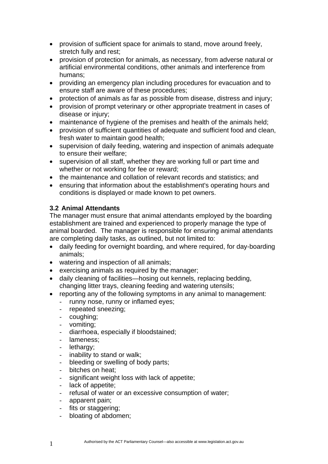- provision of sufficient space for animals to stand, move around freely, stretch fully and rest;
- provision of protection for animals, as necessary, from adverse natural or artificial environmental conditions, other animals and interference from humans;
- providing an emergency plan including procedures for evacuation and to ensure staff are aware of these procedures;
- protection of animals as far as possible from disease, distress and injury;
- provision of prompt veterinary or other appropriate treatment in cases of disease or injury;
- maintenance of hygiene of the premises and health of the animals held;
- provision of sufficient quantities of adequate and sufficient food and clean, fresh water to maintain good health;
- supervision of daily feeding, watering and inspection of animals adequate to ensure their welfare;
- supervision of all staff, whether they are working full or part time and whether or not working for fee or reward;
- the maintenance and collation of relevant records and statistics; and
- ensuring that information about the establishment's operating hours and conditions is displayed or made known to pet owners.

### **3.2 Animal Attendants**

The manager must ensure that animal attendants employed by the boarding establishment are trained and experienced to properly manage the type of animal boarded. The manager is responsible for ensuring animal attendants are completing daily tasks, as outlined, but not limited to:

- daily feeding for overnight boarding, and where required, for day-boarding animals;
- watering and inspection of all animals;
- exercising animals as required by the manager;
- daily cleaning of facilities—hosing out kennels, replacing bedding, changing litter trays, cleaning feeding and watering utensils;
- reporting any of the following symptoms in any animal to management:
	- runny nose, runny or inflamed eyes;
	- repeated sneezing;
	- coughing;
	- vomiting;
	- diarrhoea, especially if bloodstained;
	- lameness;
	- lethargy;
	- inability to stand or walk;
	- bleeding or swelling of body parts;
	- bitches on heat;
	- significant weight loss with lack of appetite;
	- lack of appetite;
	- refusal of water or an excessive consumption of water;
	- apparent pain;
	- fits or staggering;
	- bloating of abdomen;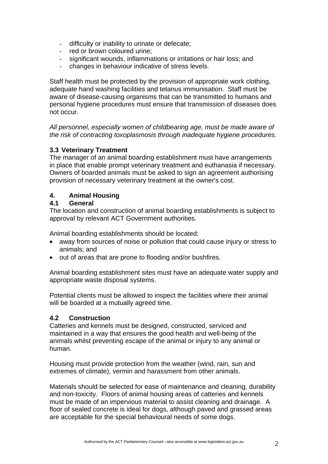- difficulty or inability to urinate or defecate;
- red or brown coloured urine;
- significant wounds, inflammations or irritations or hair loss; and
- changes in behaviour indicative of stress levels.

Staff health must be protected by the provision of appropriate work clothing, adequate hand washing facilities and tetanus immunisation. Staff must be aware of disease-causing organisms that can be transmitted to humans and personal hygiene procedures must ensure that transmission of diseases does not occur.

*All personnel, especially women of childbearing age, must be made aware of the risk of contracting toxoplasmosis through inadequate hygiene procedures.* 

### **3.3 Veterinary Treatment**

The manager of an animal boarding establishment must have arrangements in place that enable prompt veterinary treatment and euthanasia if necessary. Owners of boarded animals must be asked to sign an agreement authorising provision of necessary veterinary treatment at the owner's cost.

### **4. Animal Housing**

### **4.1 General**

The location and construction of animal boarding establishments is subject to approval by relevant ACT Government authorities.

Animal boarding establishments should be located:

- away from sources of noise or pollution that could cause injury or stress to animals; and
- out of areas that are prone to flooding and/or bushfires.

Animal boarding establishment sites must have an adequate water supply and appropriate waste disposal systems.

Potential clients must be allowed to inspect the facilities where their animal will be boarded at a mutually agreed time.

### **4.2 Construction**

Catteries and kennels must be designed, constructed, serviced and maintained in a way that ensures the good health and well-being of the animals whilst preventing escape of the animal or injury to any animal or human.

Housing must provide protection from the weather (wind, rain, sun and extremes of climate), vermin and harassment from other animals.

Materials should be selected for ease of maintenance and cleaning, durability and non-toxicity. Floors of animal housing areas of catteries and kennels must be made of an impervious material to assist cleaning and drainage. A floor of sealed concrete is ideal for dogs, although paved and grassed areas are acceptable for the special behavioural needs of some dogs.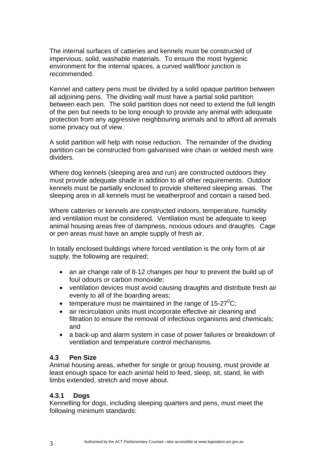The internal surfaces of catteries and kennels must be constructed of impervious, solid, washable materials. To ensure the most hygienic environment for the internal spaces, a curved wall/floor junction is recommended.

Kennel and cattery pens must be divided by a solid opaque partition between all adjoining pens. The dividing wall must have a partial solid partition between each pen. The solid partition does not need to extend the full length of the pen but needs to be long enough to provide any animal with adequate protection from any aggressive neighbouring animals and to afford all animals some privacy out of view.

A solid partition will help with noise reduction. The remainder of the dividing partition can be constructed from galvanised wire chain or welded mesh wire dividers.

Where dog kennels (sleeping area and run) are constructed outdoors they must provide adequate shade in addition to all other requirements. Outdoor kennels must be partially enclosed to provide sheltered sleeping areas. The sleeping area in all kennels must be weatherproof and contain a raised bed.

Where catteries or kennels are constructed indoors, temperature, humidity and ventilation must be considered. Ventilation must be adequate to keep animal housing areas free of dampness, noxious odours and draughts. Cage or pen areas must have an ample supply of fresh air.

In totally enclosed buildings where forced ventilation is the only form of air supply, the following are required:

- an air change rate of 8-12 changes per hour to prevent the build up of foul odours or carbon monoxide;
- ventilation devices must avoid causing draughts and distribute fresh air evenly to all of the boarding areas;
- temperature must be maintained in the range of  $15-27^{\circ}$ C;
- air recirculation units must incorporate effective air cleaning and filtration to ensure the removal of infectious organisms and chemicals; and
- a back-up and alarm system in case of power failures or breakdown of ventilation and temperature control mechanisms.

# **4.3 Pen Size**

Animal housing areas, whether for single or group housing, must provide at least enough space for each animal held to feed, sleep, sit, stand, lie with limbs extended, stretch and move about.

# **4.3.1 Dogs**

Kennelling for dogs, including sleeping quarters and pens, must meet the following minimum standards: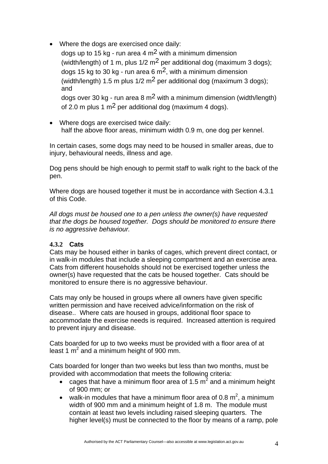• Where the dogs are exercised once daily:

dogs up to 15 kg - run area 4  $\text{m}^2$  with a minimum dimension (width/length) of 1 m, plus  $1/2$  m<sup>2</sup> per additional dog (maximum 3 dogs); dogs 15 kg to 30 kg - run area 6  $m<sup>2</sup>$ , with a minimum dimension (width/length) 1.5 m plus  $1/2$  m<sup>2</sup> per additional dog (maximum 3 dogs); and dogs over 30 kg - run area 8 m2 with a minimum dimension (width/length)

of 2.0 m plus 1 m<sup>2</sup> per additional dog (maximum 4 dogs).

• Where dogs are exercised twice daily: half the above floor areas, minimum width 0.9 m, one dog per kennel.

In certain cases, some dogs may need to be housed in smaller areas, due to injury, behavioural needs, illness and age.

Dog pens should be high enough to permit staff to walk right to the back of the pen.

Where dogs are housed together it must be in accordance with Section 4.3.1 of this Code.

*All dogs must be housed one to a pen unless the owner(s) have requested that the dogs be housed together. Dogs should be monitored to ensure there is no aggressive behaviour.* 

# **4.3.2 Cats**

Cats may be housed either in banks of cages, which prevent direct contact, or in walk-in modules that include a sleeping compartment and an exercise area. Cats from different households should not be exercised together unless the owner(s) have requested that the cats be housed together. Cats should be monitored to ensure there is no aggressive behaviour.

Cats may only be housed in groups where all owners have given specific written permission and have received advice/information on the risk of disease.. Where cats are housed in groups, additional floor space to accommodate the exercise needs is required. Increased attention is required to prevent injury and disease.

Cats boarded for up to two weeks must be provided with a floor area of at least 1  $m^2$  and a minimum height of 900 mm.

Cats boarded for longer than two weeks but less than two months, must be provided with accommodation that meets the following criteria:

- cages that have a minimum floor area of 1.5  $m^2$  and a minimum height of 900 mm; or
- walk-in modules that have a minimum floor area of 0.8  $m^2$ , a minimum width of 900 mm and a minimum height of 1.8 m. The module must contain at least two levels including raised sleeping quarters. The higher level(s) must be connected to the floor by means of a ramp, pole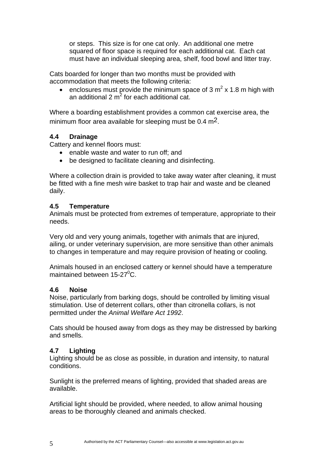or steps. This size is for one cat only. An additional one metre squared of floor space is required for each additional cat. Each cat must have an individual sleeping area, shelf, food bowl and litter tray.

Cats boarded for longer than two months must be provided with accommodation that meets the following criteria:

• enclosures must provide the minimum space of 3  $m^2$  x 1.8 m high with an additional 2  $m^2$  for each additional cat.

Where a boarding establishment provides a common cat exercise area, the minimum floor area available for sleeping must be  $0.4 \text{ m}^2$ .

# **4.4 Drainage**

Cattery and kennel floors must:

- enable waste and water to run off; and
- be designed to facilitate cleaning and disinfecting.

Where a collection drain is provided to take away water after cleaning, it must be fitted with a fine mesh wire basket to trap hair and waste and be cleaned daily.

# **4.5 Temperature**

Animals must be protected from extremes of temperature, appropriate to their needs.

Very old and very young animals, together with animals that are injured, ailing, or under veterinary supervision, are more sensitive than other animals to changes in temperature and may require provision of heating or cooling.

Animals housed in an enclosed cattery or kennel should have a temperature maintained between  $15-27^0C$ .

# **4.6 Noise**

Noise, particularly from barking dogs, should be controlled by limiting visual stimulation. Use of deterrent collars, other than citronella collars, is not permitted under the *Animal Welfare Act 1992*.

Cats should be housed away from dogs as they may be distressed by barking and smells.

# **4.7 Lighting**

Lighting should be as close as possible, in duration and intensity, to natural conditions.

Sunlight is the preferred means of lighting, provided that shaded areas are available.

Artificial light should be provided, where needed, to allow animal housing areas to be thoroughly cleaned and animals checked.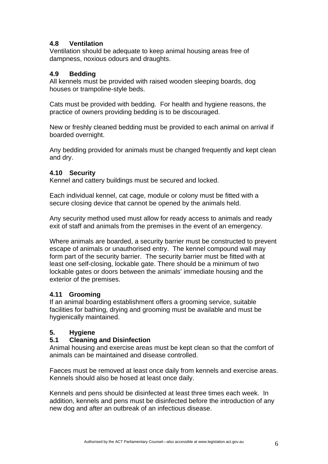# **4.8 Ventilation**

Ventilation should be adequate to keep animal housing areas free of dampness, noxious odours and draughts.

# **4.9 Bedding**

All kennels must be provided with raised wooden sleeping boards, dog houses or trampoline-style beds.

Cats must be provided with bedding. For health and hygiene reasons, the practice of owners providing bedding is to be discouraged.

New or freshly cleaned bedding must be provided to each animal on arrival if boarded overnight.

Any bedding provided for animals must be changed frequently and kept clean and dry.

# **4.10 Security**

Kennel and cattery buildings must be secured and locked.

Each individual kennel, cat cage, module or colony must be fitted with a secure closing device that cannot be opened by the animals held.

Any security method used must allow for ready access to animals and ready exit of staff and animals from the premises in the event of an emergency.

Where animals are boarded, a security barrier must be constructed to prevent escape of animals or unauthorised entry. The kennel compound wall may form part of the security barrier. The security barrier must be fitted with at least one self-closing, lockable gate. There should be a minimum of two lockable gates or doors between the animals' immediate housing and the exterior of the premises.

# **4.11 Grooming**

If an animal boarding establishment offers a grooming service, suitable facilities for bathing, drying and grooming must be available and must be hygienically maintained.

# **5. Hygiene**

# **5.1 Cleaning and Disinfection**

Animal housing and exercise areas must be kept clean so that the comfort of animals can be maintained and disease controlled.

Faeces must be removed at least once daily from kennels and exercise areas. Kennels should also be hosed at least once daily.

Kennels and pens should be disinfected at least three times each week. In addition, kennels and pens must be disinfected before the introduction of any new dog and after an outbreak of an infectious disease.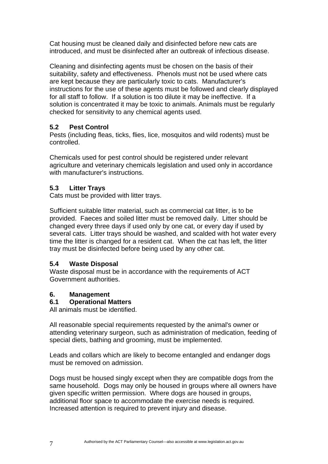Cat housing must be cleaned daily and disinfected before new cats are introduced, and must be disinfected after an outbreak of infectious disease.

Cleaning and disinfecting agents must be chosen on the basis of their suitability, safety and effectiveness. Phenols must not be used where cats are kept because they are particularly toxic to cats. Manufacturer's instructions for the use of these agents must be followed and clearly displayed for all staff to follow. If a solution is too dilute it may be ineffective. If a solution is concentrated it may be toxic to animals. Animals must be regularly checked for sensitivity to any chemical agents used.

# **5.2 Pest Control**

Pests (including fleas, ticks, flies, lice, mosquitos and wild rodents) must be controlled.

Chemicals used for pest control should be registered under relevant agriculture and veterinary chemicals legislation and used only in accordance with manufacturer's instructions.

# **5.3 Litter Trays**

Cats must be provided with litter trays.

Sufficient suitable litter material, such as commercial cat litter, is to be provided. Faeces and soiled litter must be removed daily. Litter should be changed every three days if used only by one cat, or every day if used by several cats. Litter trays should be washed, and scalded with hot water every time the litter is changed for a resident cat. When the cat has left, the litter tray must be disinfected before being used by any other cat.

# **5.4 Waste Disposal**

Waste disposal must be in accordance with the requirements of ACT Government authorities.

# **6. Management**

# **6.1 Operational Matters**

All animals must be identified.

All reasonable special requirements requested by the animal's owner or attending veterinary surgeon, such as administration of medication, feeding of special diets, bathing and grooming, must be implemented.

Leads and collars which are likely to become entangled and endanger dogs must be removed on admission.

Dogs must be housed singly except when they are compatible dogs from the same household. Dogs may only be housed in groups where all owners have given specific written permission. Where dogs are housed in groups, additional floor space to accommodate the exercise needs is required. Increased attention is required to prevent injury and disease.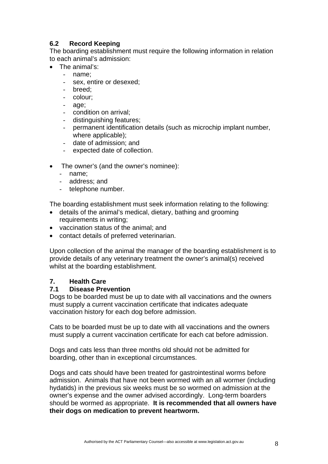# **6.2 Record Keeping**

The boarding establishment must require the following information in relation to each animal's admission:

- The animal's:
	- name:
		- sex, entire or desexed;
		- breed:
	- colour;
	- age;
	- condition on arrival;
	- distinguishing features;
	- permanent identification details (such as microchip implant number, where applicable);
	- date of admission; and
	- expected date of collection.
- The owner's (and the owner's nominee):
	- name;
	- address; and
	- telephone number.

The boarding establishment must seek information relating to the following:

- details of the animal's medical, dietary, bathing and grooming requirements in writing;
- vaccination status of the animal; and
- contact details of preferred veterinarian.

Upon collection of the animal the manager of the boarding establishment is to provide details of any veterinary treatment the owner's animal(s) received whilst at the boarding establishment.

# **7. Health Care**

### **7.1 Disease Prevention**

Dogs to be boarded must be up to date with all vaccinations and the owners must supply a current vaccination certificate that indicates adequate vaccination history for each dog before admission.

Cats to be boarded must be up to date with all vaccinations and the owners must supply a current vaccination certificate for each cat before admission.

Dogs and cats less than three months old should not be admitted for boarding, other than in exceptional circumstances.

Dogs and cats should have been treated for gastrointestinal worms before admission. Animals that have not been wormed with an all wormer (including hydatids) in the previous six weeks must be so wormed on admission at the owner's expense and the owner advised accordingly. Long-term boarders should be wormed as appropriate. **It is recommended that all owners have their dogs on medication to prevent heartworm.**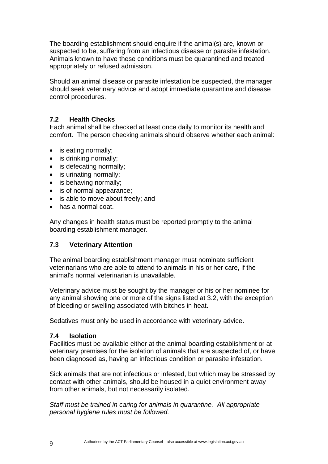The boarding establishment should enquire if the animal(s) are, known or suspected to be, suffering from an infectious disease or parasite infestation. Animals known to have these conditions must be quarantined and treated appropriately or refused admission.

Should an animal disease or parasite infestation be suspected, the manager should seek veterinary advice and adopt immediate quarantine and disease control procedures.

# **7.2 Health Checks**

Each animal shall be checked at least once daily to monitor its health and comfort. The person checking animals should observe whether each animal:

- is eating normally;
- is drinking normally;
- is defecating normally:
- is urinating normally:
- is behaving normally;
- is of normal appearance;
- is able to move about freely; and
- has a normal coat.

Any changes in health status must be reported promptly to the animal boarding establishment manager.

# **7.3 Veterinary Attention**

The animal boarding establishment manager must nominate sufficient veterinarians who are able to attend to animals in his or her care, if the animal's normal veterinarian is unavailable.

Veterinary advice must be sought by the manager or his or her nominee for any animal showing one or more of the signs listed at 3.2, with the exception of bleeding or swelling associated with bitches in heat.

Sedatives must only be used in accordance with veterinary advice.

### **7.4 Isolation**

Facilities must be available either at the animal boarding establishment or at veterinary premises for the isolation of animals that are suspected of, or have been diagnosed as, having an infectious condition or parasite infestation.

Sick animals that are not infectious or infested, but which may be stressed by contact with other animals, should be housed in a quiet environment away from other animals, but not necessarily isolated.

*Staff must be trained in caring for animals in quarantine. All appropriate personal hygiene rules must be followed.*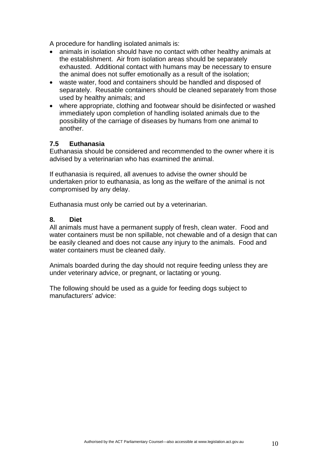A procedure for handling isolated animals is:

- animals in isolation should have no contact with other healthy animals at the establishment. Air from isolation areas should be separately exhausted. Additional contact with humans may be necessary to ensure the animal does not suffer emotionally as a result of the isolation;
- waste water, food and containers should be handled and disposed of separately. Reusable containers should be cleaned separately from those used by healthy animals; and
- where appropriate, clothing and footwear should be disinfected or washed immediately upon completion of handling isolated animals due to the possibility of the carriage of diseases by humans from one animal to another.

### **7.5 Euthanasia**

Euthanasia should be considered and recommended to the owner where it is advised by a veterinarian who has examined the animal.

If euthanasia is required, all avenues to advise the owner should be undertaken prior to euthanasia, as long as the welfare of the animal is not compromised by any delay.

Euthanasia must only be carried out by a veterinarian.

### **8. Diet**

All animals must have a permanent supply of fresh, clean water. Food and water containers must be non spillable, not chewable and of a design that can be easily cleaned and does not cause any injury to the animals. Food and water containers must be cleaned daily.

Animals boarded during the day should not require feeding unless they are under veterinary advice, or pregnant, or lactating or young.

The following should be used as a guide for feeding dogs subject to manufacturers' advice: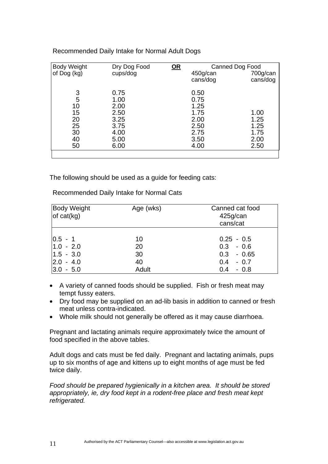| <b>Body Weight</b> | Dry Dog Food | $OR$ |          | Canned Dog Food |
|--------------------|--------------|------|----------|-----------------|
| of Dog (kg)        | cups/dog     |      | 450g/can | 700g/can        |
|                    |              |      | cans/dog | cans/dog        |
|                    |              |      |          |                 |
| 3                  | 0.75         |      | 0.50     |                 |
| 5                  | 1.00         |      | 0.75     |                 |
| 10                 | 2.00         |      | 1.25     |                 |
| 15                 | 2.50         |      | 1.75     | 1.00            |
| 20                 | 3.25         |      | 2.00     | 1.25            |
| 25                 | 3.75         |      | 2.50     | 1.25            |
| 30                 | 4.00         |      | 2.75     | 1.75            |
| 40                 | 5.00         |      | 3.50     | 2.00            |
| 50                 | 6.00         |      | 4.00     | 2.50            |
|                    |              |      |          |                 |
|                    |              |      |          |                 |

Recommended Daily Intake for Normal Adult Dogs

The following should be used as a guide for feeding cats:

Recommended Daily Intake for Normal Cats

| <b>Body Weight</b><br>of $cat(kg)$                                      | Age (wks)                     | Canned cat food<br>425g/can<br>cans/cat                                                |
|-------------------------------------------------------------------------|-------------------------------|----------------------------------------------------------------------------------------|
| $ 0.5 - 1$<br>$1.0 - 2.0$<br>$1.5 - 3.0$<br> 2.0 - 4.0<br>$ 3.0 - 5.0 $ | 10<br>20<br>30<br>40<br>Adult | $0.25 - 0.5$<br>$0.3 - 0.6$<br>$0.3 - 0.65$<br>$0.4^{\circ}$<br>$-0.7$<br>0.4<br>- 0.8 |

- A variety of canned foods should be supplied. Fish or fresh meat may tempt fussy eaters.
- Dry food may be supplied on an ad-lib basis in addition to canned or fresh meat unless contra-indicated.
- Whole milk should not generally be offered as it may cause diarrhoea.

Pregnant and lactating animals require approximately twice the amount of food specified in the above tables.

Adult dogs and cats must be fed daily. Pregnant and lactating animals, pups up to six months of age and kittens up to eight months of age must be fed twice daily.

*Food should be prepared hygienically in a kitchen area. It should be stored appropriately, ie, dry food kept in a rodent-free place and fresh meat kept refrigerated.*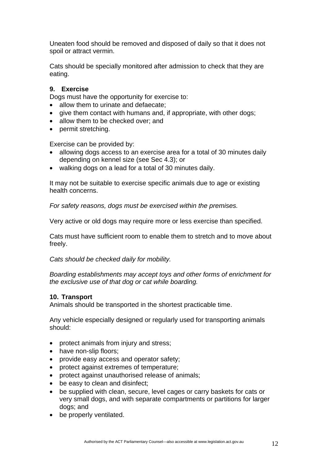Uneaten food should be removed and disposed of daily so that it does not spoil or attract vermin.

Cats should be specially monitored after admission to check that they are eating.

### **9. Exercise**

Dogs must have the opportunity for exercise to:

- allow them to urinate and defaecate;
- give them contact with humans and, if appropriate, with other dogs;
- allow them to be checked over; and
- permit stretching.

Exercise can be provided by:

- allowing dogs access to an exercise area for a total of 30 minutes daily depending on kennel size (see Sec 4.3); or
- walking dogs on a lead for a total of 30 minutes daily.

It may not be suitable to exercise specific animals due to age or existing health concerns.

*For safety reasons, dogs must be exercised within the premises.* 

Very active or old dogs may require more or less exercise than specified.

Cats must have sufficient room to enable them to stretch and to move about freely.

*Cats should be checked daily for mobility.* 

*Boarding establishments may accept toys and other forms of enrichment for the exclusive use of that dog or cat while boarding.*

### **10. Transport**

Animals should be transported in the shortest practicable time.

Any vehicle especially designed or regularly used for transporting animals should:

- protect animals from injury and stress;
- have non-slip floors;
- provide easy access and operator safety;
- protect against extremes of temperature;
- protect against unauthorised release of animals;
- be easy to clean and disinfect;
- be supplied with clean, secure, level cages or carry baskets for cats or very small dogs, and with separate compartments or partitions for larger dogs; and
- be properly ventilated.